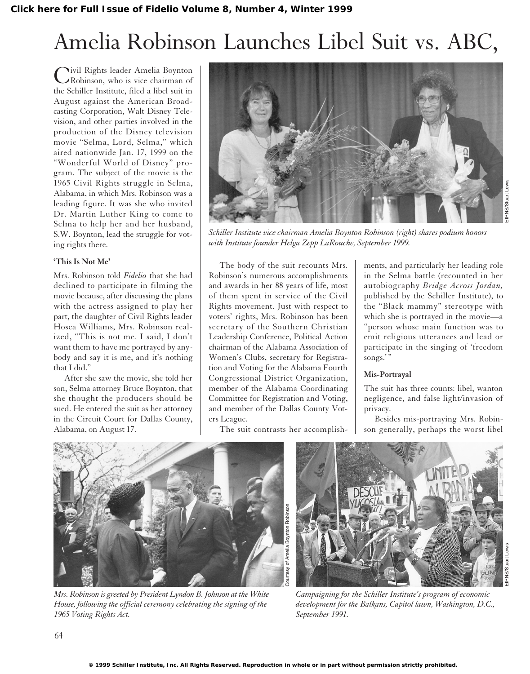## Amelia Robinson Launches Libel Suit vs. ABC,

Civil Rights leader Amelia Boynton Robinson, who is vice chairman of the Schiller Institute, filed a libel suit in August against the American Broadcasting Corporation, Walt Disney Television, and other parties involved in the production of the Disney television movie "Selma, Lord, Selma," which aired nationwide Jan. 17, 1999 on the "Wonderful World of Disney" program. The subject of the movie is the 1965 Civil Rights struggle in Selma, Alabama, in which Mrs. Robinson was a leading figure. It was she who invited Dr. Martin Luther King to come to Selma to help her and her husband, S.W. Boynton, lead the struggle for voting rights there.

### **'This Is Not Me'**

Mrs. Robinson told *Fidelio* that she had declined to participate in filming the movie because, after discussing the plans with the actress assigned to play her part, the daughter of Civil Rights leader Hosea Williams, Mrs. Robinson realized, "This is not me. I said, I don't want them to have me portrayed by anybody and say it is me, and it's nothing that I did."

After she saw the movie, she told her son, Selma attorney Bruce Boynton, that she thought the producers should be sued. He entered the suit as her attorney in the Circuit Court for Dallas County, Alabama, on August 17.



*Schiller Institute vice chairman Amelia Boynton Robinson (right) shares podium honors with Institute founder Helga Zepp LaRouche, September 1999.*

The body of the suit recounts Mrs. Robinson's numerous accomplishments and awards in her 88 years of life, most of them spent in service of the Civil Rights movement. Just with respect to voters' rights, Mrs. Robinson has been secretary of the Southern Christian Leadership Conference, Political Action chairman of the Alabama Association of Women's Clubs, secretary for Registration and Voting for the Alabama Fourth Congressional District Organization, member of the Alabama Coordinating Committee for Registration and Voting, and member of the Dallas County Voters League.

The suit contrasts her accomplish-

ments, and particularly her leading role in the Selma battle (recounted in her autobiography *Bridge Across Jordan,* published by the Schiller Institute), to the "Black mammy" stereotype with which she is portrayed in the movie—a "person whose main function was to emit religious utterances and lead or participate in the singing of 'freedom songs."

### **Mis-Portrayal**

The suit has three counts: libel, wanton negligence, and false light/invasion of privacy.

Besides mis-portraying Mrs. Robinson generally, perhaps the worst libel



*Mrs. Robinson is greeted by President Lyndon B. Johnson at the White House, following the official ceremony celebrating the signing of the 1965 Voting Rights Act.*



*Campaigning for the Schiller Institute's program of economic development for the Balkans, Capitol lawn, Washington, D.C., September 1991.*